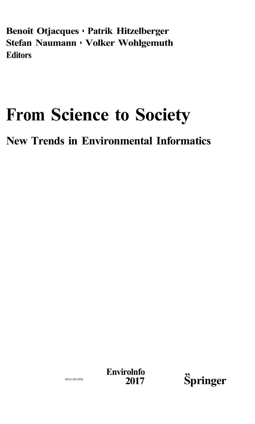**Benoit Otjacques • Patrik Hitzelberger Stefan Naumann • Volker Wohlgemuth Editors** 

## **From Science to Society**

**New Trends in Environmental Informatics** 

**Envirolnfo**<br>2017



MOUUBCHMS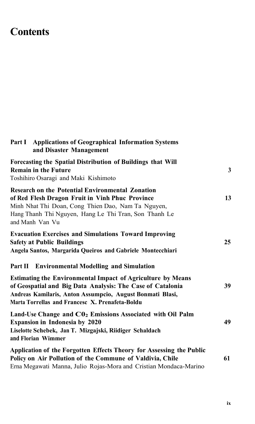## **Contents**

| Part I Applications of Geographical Information Systems<br>and Disaster Management                                                                                                                                                                                                                 |    |
|----------------------------------------------------------------------------------------------------------------------------------------------------------------------------------------------------------------------------------------------------------------------------------------------------|----|
| Forecasting the Spatial Distribution of Buildings that Will<br><b>Remain in the Future</b><br>Toshihiro Osaragi and Maki Kishimoto                                                                                                                                                                 | 3  |
| <b>Research on the Potential Environmental Zonation</b><br>of Red Flesh Dragon Fruit in Vinh Phuc Province<br>Minh Nhat Thi Doan, Cong Thien Dao, Nam Ta Nguyen,<br>Hang Thanh Thi Nguyen, Hang Le Thi Tran, Son Thanh Le<br>and Manh Van Vu                                                       | 13 |
| <b>Evacuation Exercises and Simulations Toward Improving</b><br><b>Safety at Public Buildings</b><br>Angela Santos, Margarida Queiros and Gabriele Montecchiari                                                                                                                                    | 25 |
| Part II Environmental Modelling and Simulation<br><b>Estimating the Environmental Impact of Agriculture by Means</b><br>of Geospatial and Big Data Analysis: The Case of Catalonia<br>Andreas Kamilaris, Anton Assumpcio, August Bonmati Blasi,<br>Marta Torrellas and Francesc X. Prenafeta-Boldu | 39 |
| Land-Use Change and CO <sub>2</sub> Emissions Associated with Oil Palm<br><b>Expansion in Indonesia by 2020</b><br>Liselotte Schebek, Jan T. Mizgajski, Riidiger Schaldach<br>and Florian Wimmer                                                                                                   | 49 |
| Application of the Forgotten Effects Theory for Assessing the Public<br>Policy on Air Pollution of the Commune of Valdivia, Chile<br>Erna Megawati Manna, Julio Rojas-Mora and Cristian Mondaca-Marino                                                                                             | 61 |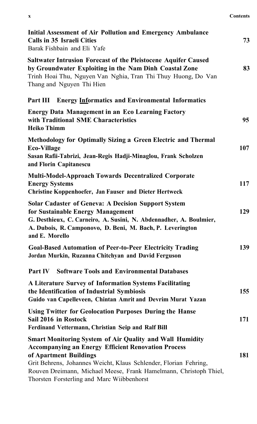| <br>л | <b>Contents</b> |
|-------|-----------------|
|       |                 |

| Initial Assessment of Air Pollution and Emergency Ambulance<br>Calls in 35 Israeli Cities<br>Barak Fishbain and Eli Yafe                                                                                                                                                                                                                       | 73  |
|------------------------------------------------------------------------------------------------------------------------------------------------------------------------------------------------------------------------------------------------------------------------------------------------------------------------------------------------|-----|
| <b>Saltwater Intrusion Forecast of the Pleistocene Aquifer Caused</b><br>by Groundwater Exploiting in the Nam Dinh Coastal Zone<br>Trinh Hoai Thu, Nguyen Van Nghia, Tran Thi Thuy Huong, Do Van<br>Thang and Nguyen Thi Hien                                                                                                                  | 83  |
| Part III<br><b>Energy Informatics and Environmental Informatics</b>                                                                                                                                                                                                                                                                            |     |
| <b>Energy Data Management in an Eco Learning Factory</b><br>with Traditional SME Characteristics<br><b>Heiko Thimm</b>                                                                                                                                                                                                                         | 95  |
| Methodology for Optimally Sizing a Green Electric and Thermal<br><b>Eco-Village</b><br>Sasan Rafii-Tabrizi, Jean-Regis Hadji-Minaglou, Frank Scholzen<br>and Florin Capitanescu                                                                                                                                                                | 107 |
| <b>Multi-Model-Approach Towards Decentralized Corporate</b><br><b>Energy Systems</b><br>Christine Koppenhoefer, Jan Fauser and Dieter Hertweck                                                                                                                                                                                                 | 117 |
| <b>Solar Cadaster of Geneva: A Decision Support System</b><br>for Sustainable Energy Management<br>G. Desthieux, C. Carneiro, A. Susini, N. Abdennadher, A. Boulmier,<br>A. Dubois, R. Camponovo, D. Beni, M. Bach, P. Leverington<br>and E. Morello                                                                                           | 129 |
| <b>Goal-Based Automation of Peer-to-Peer Electricity Trading</b><br>Jordan Murkin, Ruzanna Chitchyan and David Ferguson                                                                                                                                                                                                                        | 139 |
| <b>Software Tools and Environmental Databases</b><br>Part IV                                                                                                                                                                                                                                                                                   |     |
| A Literature Survey of Information Systems Facilitating<br>the Identification of Industrial Symbiosis<br>Guido van Capelleveen, Chintan Amrit and Devrim Murat Yazan                                                                                                                                                                           | 155 |
| <b>Using Twitter for Geolocation Purposes During the Hanse</b><br>Sail 2016 in Rostock<br>Ferdinand Vettermann, Christian Seip and Ralf Bill                                                                                                                                                                                                   | 171 |
| <b>Smart Monitoring System of Air Quality and Wall Humidity</b><br><b>Accompanying an Energy Efficient Renovation Process</b><br>of Apartment Buildings<br>Grit Behrens, Johannes Weicht, Klaus Schlender, Florian Fehring,<br>Rouven Dreimann, Michael Meese, Frank Hamelmann, Christoph Thiel,<br>Thorsten Forsterling and Marc Wiibbenhorst | 181 |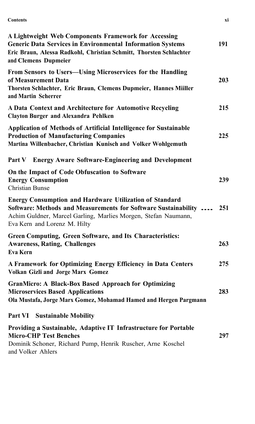**Contents** xi

| A Lightweight Web Components Framework for Accessing<br><b>Generic Data Services in Environmental Information Systems</b><br>Eric Braun, Alessa Radkohl, Christian Schmitt, Thorsten Schlachter<br>and Clemens Dupmeier            | 191 |
|------------------------------------------------------------------------------------------------------------------------------------------------------------------------------------------------------------------------------------|-----|
| From Sensors to Users-Using Microservices for the Handling<br>of Measurement Data<br>Thorsten Schlachter, Eric Braun, Clemens Dupmeier, Hannes Miiller<br>and Martin Scherrer                                                      | 203 |
| A Data Context and Architecture for Automotive Recycling<br><b>Clayton Burger and Alexandra Pehlken</b>                                                                                                                            | 215 |
| Application of Methods of Artificial Intelligence for Sustainable<br><b>Production of Manufacturing Companies</b><br>Martina Willenbacher, Christian Kunisch and Volker Wohlgemuth                                                 | 225 |
| Part V<br><b>Energy Aware Software-Engineering and Development</b>                                                                                                                                                                 |     |
| On the Impact of Code Obfuscation to Software<br><b>Energy Consumption</b><br>Christian Bunse                                                                                                                                      | 239 |
| <b>Energy Consumption and Hardware Utilization of Standard</b><br>Software: Methods and Measurements for Software Sustainability<br>Achim Guldner, Marcel Garling, Marlies Morgen, Stefan Naumann,<br>Eva Kern and Lorenz M. Hilty | 251 |
| Green Computing, Green Software, and Its Characteristics:<br><b>Awareness, Rating, Challenges</b><br>Eva Kern                                                                                                                      | 263 |
| A Framework for Optimizing Energy Efficiency in Data Centers<br>Volkan Gizli and Jorge Marx Gomez                                                                                                                                  | 275 |
| <b>GranMicro: A Black-Box Based Approach for Optimizing</b><br><b>Microservices Based Applications</b><br>Ola Mustafa, Jorge Marx Gomez, Mohamad Hamed and Hergen Pargmann                                                         | 283 |
| <b>Part VI</b> Sustainable Mobility                                                                                                                                                                                                |     |
| Providing a Sustainable, Adaptive IT Infrastructure for Portable<br><b>Micro-CHP Test Benches</b><br>Dominik Schoner, Richard Pump, Henrik Ruscher, Arne Koschel<br>and Volker Ahlers                                              | 297 |